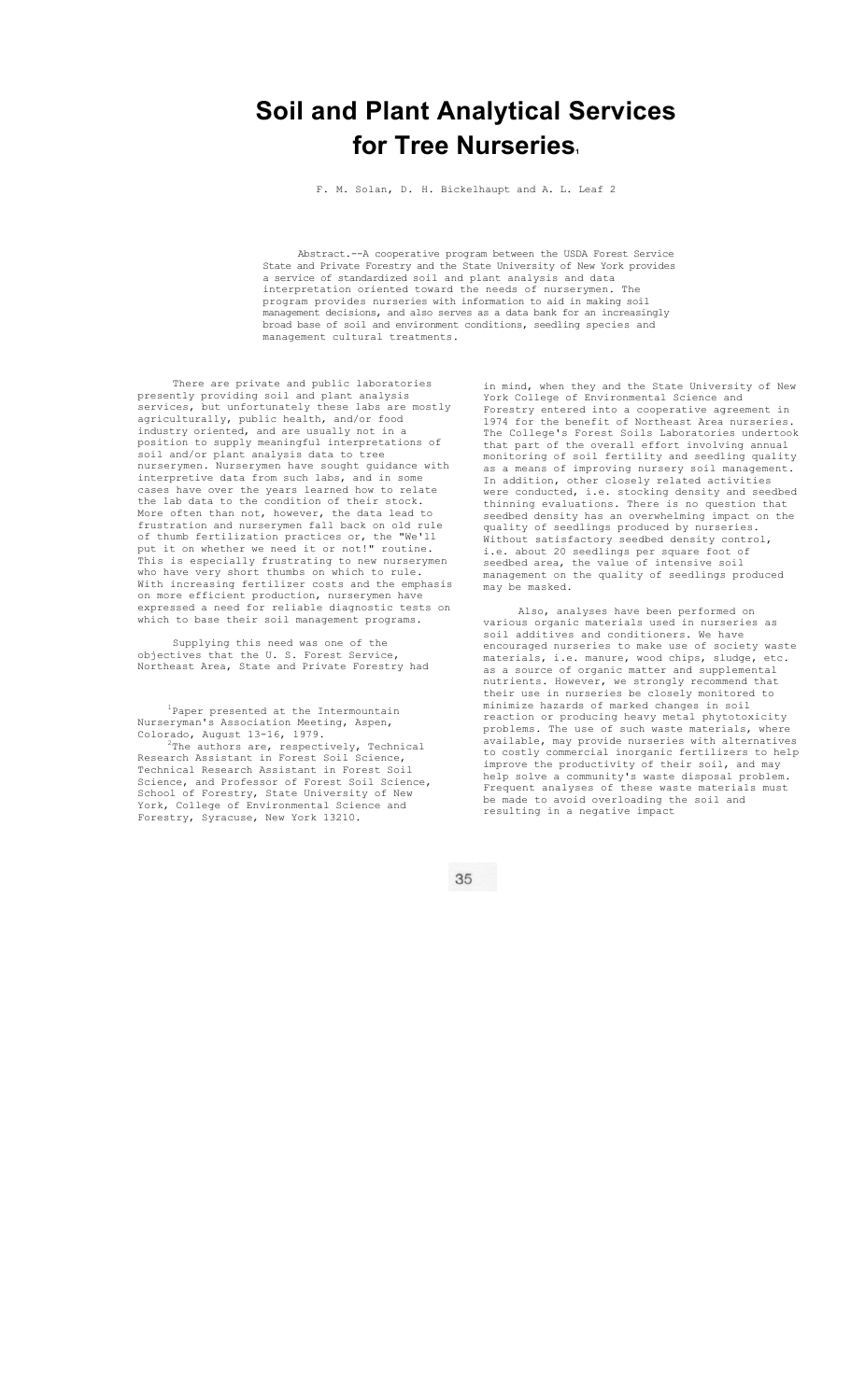## **Soil and Plant Analytical Services**  for Tree Nurseries.

F. M. Solan, D. H. Bickelhaupt and A. L. Leaf 2

Abstract.--A cooperative program between the USDA Forest Service State and Private Forestry and the State University of New York provides a service of standardized soil and plant analysis and data interpretation oriented toward the needs of nurserymen. The program provides nurseries with information to aid in making soil management decisions, and also serves as a data bank for an increasingly broad base of soil and environment conditions, seedling species and management cultural treatments.

There are private and public laboratories presently providing soil and plant analysis services, but unfortunately these labs are mostly agriculturally, public health, and/or food industry oriented, and are usually not in a position to supply meaningful interpretations of soil and/or plant analysis data to tree nurserymen. Nurserymen have sought guidance with interpretive data from such labs, and in some cases have over the years learned how to relate the lab data to the condition of their stock. More often than not, however, the data lead to frustration and nurserymen fall back on old rule of thumb fertilization practices or, the "We'll put it on whether we need it or not!" routine. This is especially frustrating to new nurserymen who have very short thumbs on which to rule. With increasing fertilizer costs and the emphasis on more efficient production, nurserymen have expressed a need for reliable diagnostic tests on which to base their soil management programs.

Supplying this need was one of the objectives that the U. S. Forest Service, Northeast Area, State and Private Forestry had

<sup>1</sup>Paper presented at the Intermountain Nurseryman's Association Meeting, Aspen, Colorado, August  $13-16$ , 1979.<br><sup>2</sup>The authors are respective The authors are, respectively, Technical Research Assistant in Forest Soil Science, Technical Research Assistant in Forest Soil Science, and Professor of Forest Soil Science, School of Forestry, State University of New York, College of Environmental Science and Forestry, Syracuse, New York 13210.

in mind, when they and the State University of New York College of Environmental Science and Forestry entered into a cooperative agreement in 1974 for the benefit of Northeast Area nurseries. The College's Forest Soils Laboratories undertook that part of the overall effort involving annual monitoring of soil fertility and seedling quality as a means of improving nursery soil management. In addition, other closely related activities were conducted, i.e. stocking density and seedbed thinning evaluations. There is no question that seedbed density has an overwhelming impact on the quality of seedlings produced by nurseries. Without satisfactory seedbed density control, i.e. about 20 seedlings per square foot of seedbed area, the value of intensive soil management on the quality of seedlings produced may be masked.

Also, analyses have been performed on various organic materials used in nurseries as soil additives and conditioners. We have encouraged nurseries to make use of society waste materials, i.e. manure, wood chips, sludge, etc. as a source of organic matter and supplemental nutrients. However, we strongly recommend that their use in nurseries be closely monitored to minimize hazards of marked changes in soil reaction or producing heavy metal phytotoxicity problems. The use of such waste materials, where available, may provide nurseries with alternatives to costly commercial inorganic fertilizers to help improve the productivity of their soil, and may help solve a community's waste disposal problem. Frequent analyses of these waste materials must be made to avoid overloading the soil and resulting in a negative impact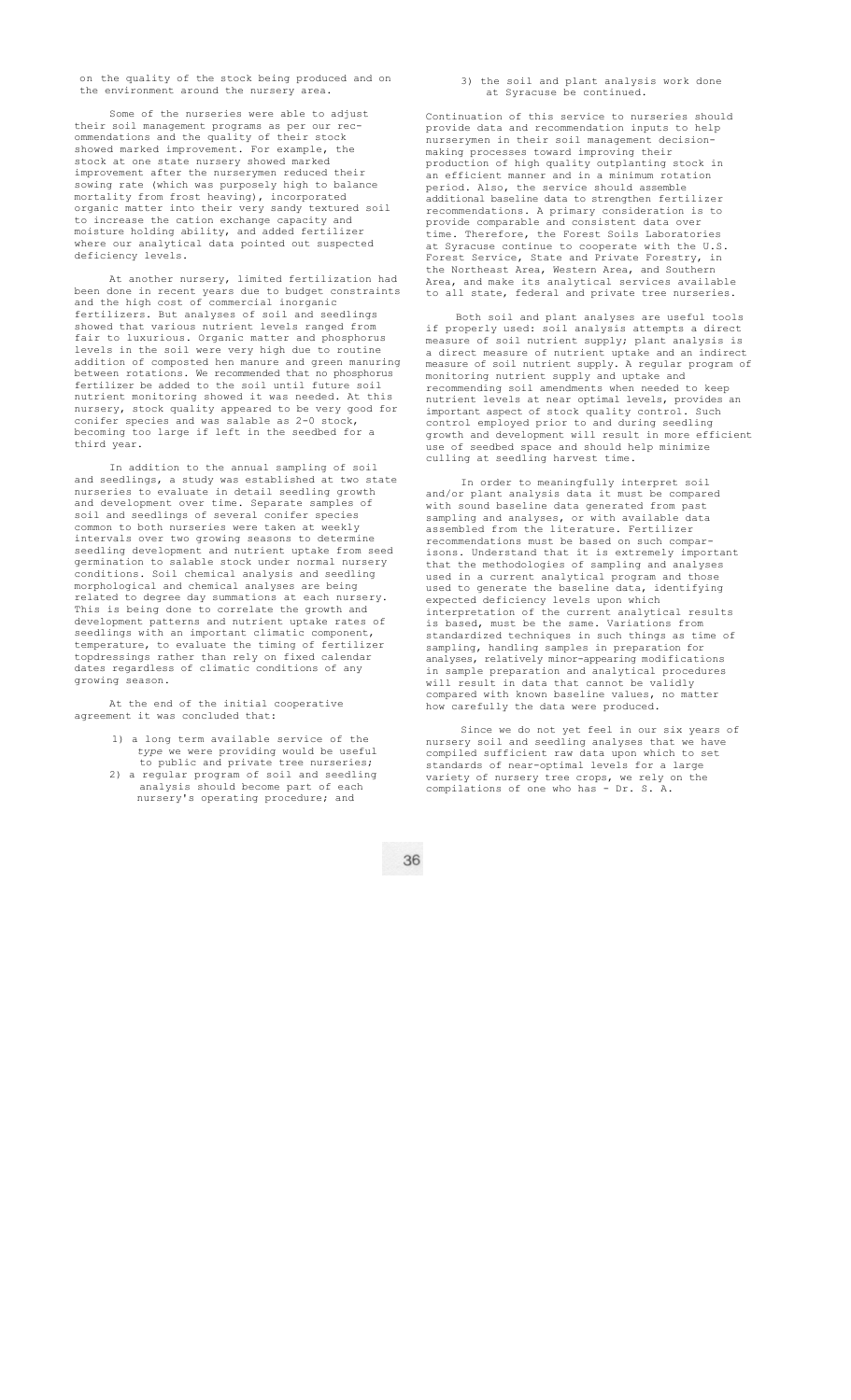on the quality of the stock being produced and on the environment around the nursery area.

Some of the nurseries were able to adjust their soil management programs as per our recommendations and the quality of their stock showed marked improvement. For example, the stock at one state nursery showed marked improvement after the nurserymen reduced their sowing rate (which was purposely high to balance mortality from frost heaving), incorporated organic matter into their very sandy textured soil to increase the cation exchange capacity and moisture holding ability, and added fertilizer where our analytical data pointed out suspected deficiency levels.

At another nursery, limited fertilization had been done in recent years due to budget constraints and the high cost of commercial inorganic fertilizers. But analyses of soil and seedlings showed that various nutrient levels ranged from fair to luxurious. Organic matter and phosphorus levels in the soil were very high due to routine addition of composted hen manure and green manuring between rotations. We recommended that no phosphorus fertilizer be added to the soil until future soil nutrient monitoring showed it was needed. At this nursery, stock quality appeared to be very good for conifer species and was salable as 2-0 stock, becoming too large if left in the seedbed for a third year.

In addition to the annual sampling of soil and seedlings, a study was established at two state nurseries to evaluate in detail seedling growth and development over time. Separate samples of soil and seedlings of several conifer species common to both nurseries were taken at weekly intervals over two growing seasons to determine seedling development and nutrient uptake from seed germination to salable stock under normal nursery conditions. Soil chemical analysis and seedling morphological and chemical analyses are being related to degree day summations at each nursery. This is being done to correlate the growth and development patterns and nutrient uptake rates of seedlings with an important climatic component, temperature, to evaluate the timing of fertilizer topdressings rather than rely on fixed calendar dates regardless of climatic conditions of any growing season.

At the end of the initial cooperative agreement it was concluded that:

- 1) a long term available service of the *type* we were providing would be useful to public and private tree nurseries;
- 2) a regular program of soil and seedling analysis should become part of each nursery's operating procedure; and

3) the soil and plant analysis work done at Syracuse be continue

Continuation of this service to nurseries should provide data and recommendation inputs to help nurserymen in their soil management decisionmaking processes toward improving their production of high quality outplanting stock in an efficient manner and in a minimum rotation period. Also, the service should assemble additional baseline data to strengthen fertilizer recommendations. A primary consideration is to provide comparable and consistent data over time. Therefore, the Forest Soils Laboratories at Syracuse continue to cooperate with the U.S. Forest Service, State and Private Forestry, in the Northeast Area, Western Area, and Southern Area, and make its analytical services available to all state, federal and private tree nurseries.

Both soil and plant analyses are useful tools if properly used: soil analysis attempts a direct measure of soil nutrient supply; plant analysis is a direct measure of nutrient uptake and an indirect measure of soil nutrient supply. A regular program of monitoring nutrient supply and uptake and recommending soil amendments when needed to keep nutrient levels at near optimal levels, provides an important aspect of stock quality control. Such control employed prior to and during seedling growth and development will result in more efficient use of seedbed space and should help minimize culling at seedling harvest time.

In order to meaningfully interpret soil and/or plant analysis data it must be compared with sound baseline data generated from past sampling and analyses, or with available data assembled from the literature. Fertilizer recommendations must be based on such comparisons. Understand that it is extremely important that the methodologies of sampling and analyses used in a current analytical program and those used to generate the baseline data, identifying expected deficiency levels upon which interpretation of the current analytical results is based, must be the same. Variations from standardized techniques in such things as time of sampling, handling samples in preparation for analyses, relatively minor-appearing modifications in sample preparation and analytical procedures will result in data that cannot be validly compared with known baseline values, no matter how carefully the data were produced.

Since we do not yet feel in our six years of nursery soil and seedling analyses that we have compiled sufficient raw data upon which to set standards of near-optimal levels for a large variety of nursery tree crops, we rely on the compilations of one who has - Dr. S. A.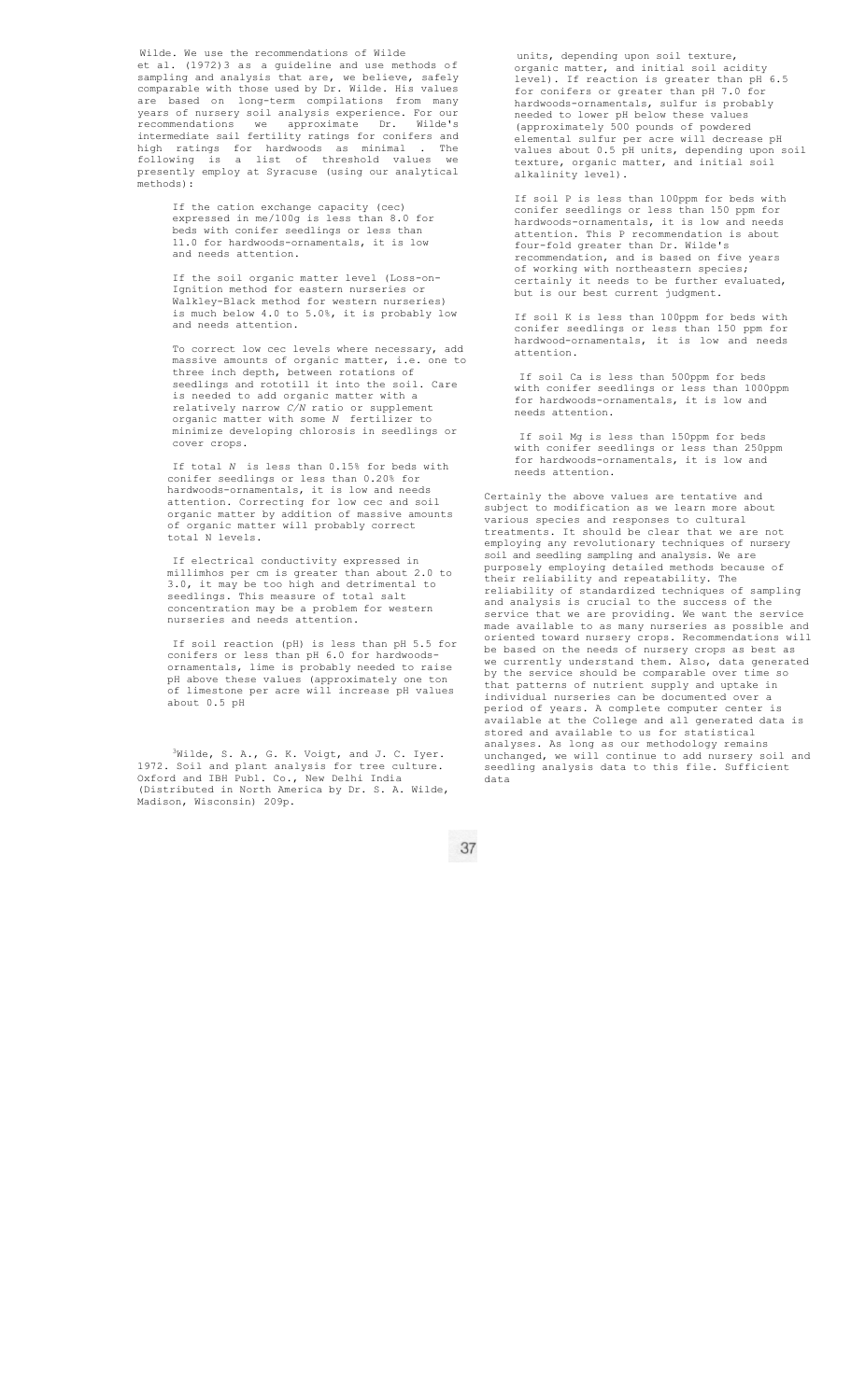Wilde. We use the recommendations of Wilde et al. (1972)3 as a guideline and use methods of sampling and analysis that are, we believe, safely comparable with those used by Dr. Wilde. His values are based on long-term compilations from many years of nursery soil analysis experience. For our recommendations we approximate Dr. Wilde's intermediate sail fertility ratings for conifers and high ratings for hardwoods as minimal . The following is a list of threshold values we presently employ at Syracuse (using our analytical methods):

> If the cation exchange capacity (cec) expressed in me/100g is less than 8.0 for beds with conifer seedlings or less than 11.0 for hardwoods-ornamentals, it is low and needs attention.

If the soil organic matter level (Loss-on-Ignition method for eastern nurseries or Walkley-Black method for western nurseries) is much below 4.0 to 5.0%, it is probably low and needs attention.

To correct low cec levels where necessary, add massive amounts of organic matter, i.e. one to three inch depth, between rotations of seedlings and rototill it into the soil. Care is needed to add organic matter with a relatively narrow *C/N* ratio or supplement organic matter with some *N* fertilizer to minimize developing chlorosis in seedlings or cover crops.

If total *N* is less than 0.15% for beds with conifer seedlings or less than 0.20% for hardwoods-ornamentals, it is low and needs attention. Correcting for low cec and soil organic matter by addition of massive amounts of organic matter will probably correct total N levels.

If electrical conductivity expressed in millimhos per cm is greater than about 2.0 to 3.0, it may be too high and detrimental to seedlings. This measure of total salt seedlings. This measure of total salt<br>concentration may be a problem for western nurseries and needs attention.

If soil reaction (pH) is less than pH 5.5 for conifers or less than pH 6.0 for hardwoodsornamentals, lime is probably needed to raise pH above these values (approximately one ton of limestone per acre will increase pH values about 0.5 pH

<sup>3</sup>Wilde, S. A., G. K. Voigt, and J. C. Iyer. 1972. Soil and plant analysis for tree culture. Oxford and IBH Publ. Co., New Delhi India (Distributed in North America by Dr. S. A. Wilde, Madison, Wisconsin) 209p.

units, depending upon soil texture, organic matter, and initial soil acidity level). If reaction is greater than pH 6.5 for conifers or greater than pH 7.0 for hardwoods-ornamentals, sulfur is probably needed to lower pH below these values (approximately 500 pounds of powdered elemental sulfur per acre will decrease pH values about 0.5 pH units, depending upon soil texture, organic matter, and initial soil alkalinity level).

If soil P is less than 100ppm for beds with conifer seedlings or less than 150 ppm for hardwoods-ornamentals, it is low and needs attention. This P recommendation is about four-fold greater than Dr. Wilde's recommendation, and is based on five years of working with northeastern species; certainly it needs to be further evaluated, but is our best current judgment.

If soil K is less than 100ppm for beds with conifer seedlings or less than 150 ppm for hardwood-ornamentals, it is low and needs attention.

If soil Ca is less than 500ppm for beds with conifer seedlings or less than 1000ppm for hardwoods-ornamentals, it is low and needs attention.

If soil Mg is less than 150ppm for beds with conifer seedlings or less than 250ppm for hardwoods-ornamentals, it is low and needs attention.

Certainly the above values are tentative and subject to modification as we learn more about various species and responses to cultural treatments. It should be clear that we are not employing any revolutionary techniques of nursery soil and seedling sampling and analysis. We are purposely employing detailed methods because of their reliability and repeatability. The reliability of standardized techniques of sampling and analysis is crucial to the success of the service that we are providing. We want the service made available to as many nurseries as possible and oriented toward nursery crops. Recommendations will be based on the needs of nursery crops as best as we currently understand them. Also, data generated by the service should be comparable over time so that patterns of nutrient supply and uptake in individual nurseries can be documented over a period of years. A complete computer center is available at the College and all generated data is stored and available to us for statistical analyses. As long as our methodology remains unchanged, we will continue to add nursery soil and seedling analysis data to this file. Sufficient data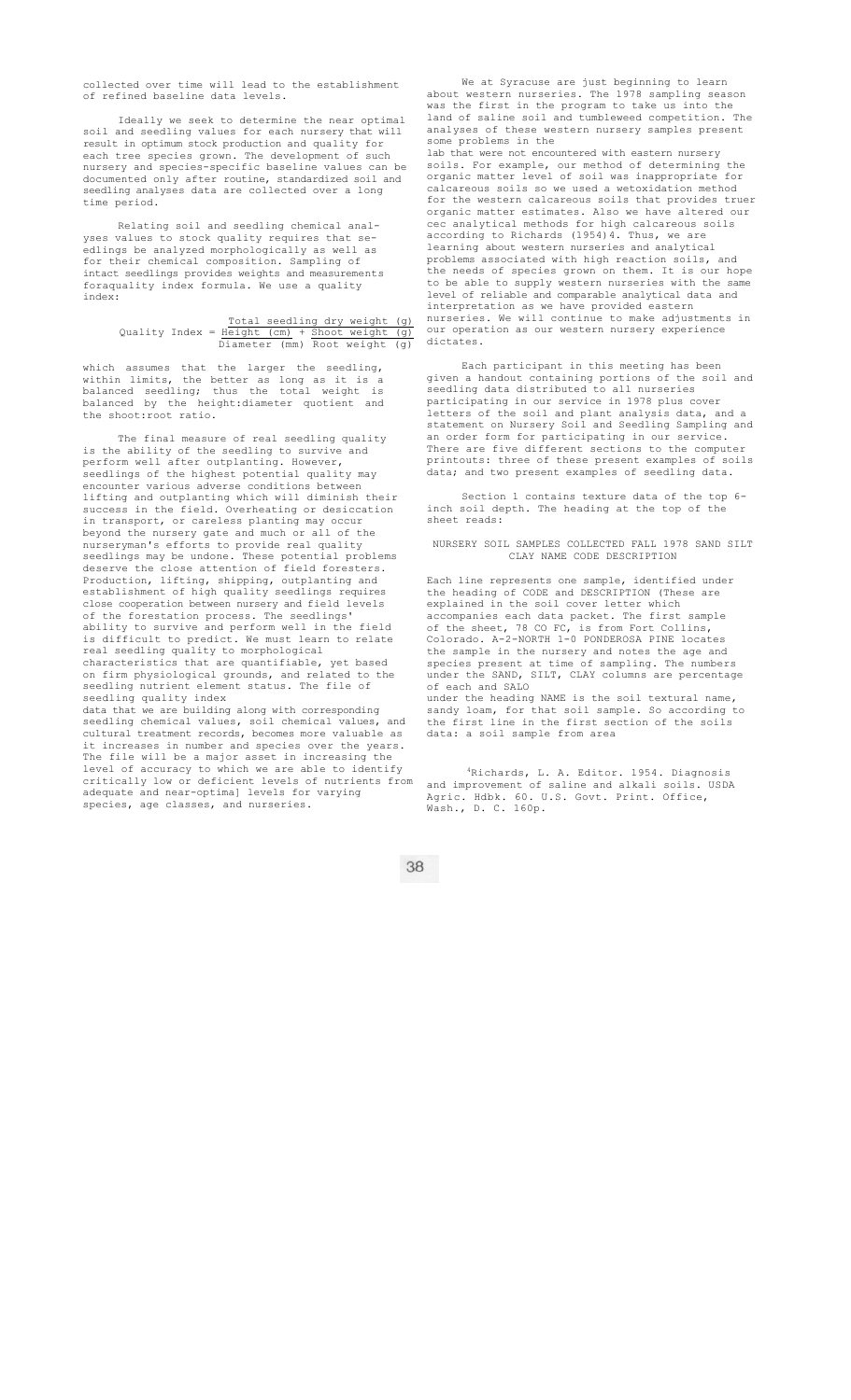collected over time will lead to the establishment of refined baseline data levels.

Ideally we seek to determine the near optimal soil and seedling values for each nursery that will result in optimum stock production and quality for each tree species grown. The development of such nursery and species-specific baseline values can be documented only after routine, standardized soil and seedling analyses data are collected over a long time period.

Relating soil and seedling chemical analyses values to stock quality requires that seedlings be analyzed morphologically as well as for their chemical composition. Sampling of intact seedlings provides weights and measurements foraquality index formula. We use a quality index:

## Total seedling dry weight (g) Quality Index = Height (cm) + Shoot weight (g) Diameter (mm) Root weight (g)

which assumes that the larger the seedling, within limits, the better as long as it is a balanced seedling; thus the total weight is balanced by the height:diameter quotient and the shoot:root ratio.

The final measure of real seedling quality is the ability of the seedling to survive and perform well after outplanting. However, seedlings of the highest potential quality may encounter various adverse conditions between lifting and outplanting which will diminish their success in the field. Overheating or desiccation in transport, or careless planting may occur beyond the nursery gate and much or all of the nurseryman's efforts to provide real quality seedlings may be undone. These potential problems deserve the close attention of field foresters. Production, lifting, shipping, outplanting and establishment of high quality seedlings requires close cooperation between nursery and field levels of the forestation process. The seedlings' ability to survive and perform well in the field is difficult to predict. We must learn to relate real seedling quality to morphological characteristics that are quantifiable, yet based on firm physiological grounds, and related to the seedling nutrient element status. The file of seedling quality index data that we are building along with corresponding

seedling chemical values, soil chemical values, and cultural treatment records, becomes more valuable as it increases in number and species over the years. The file will be a major asset in increasing the level of accuracy to which we are able to identify critically low or deficient levels of nutrients from adequate and near-optima] levels for varying species, age classes, and nurseries.

We at Syracuse are just beginning to learn about western nurseries. The 1978 sampling season was the first in the program to take us into the land of saline soil and tumbleweed competition. The analyses of these western nursery samples present some problems in the lab that were not encountered with eastern nursery soils. For example, our method of determining the

organic matter level of soil was inappropriate calcareous soils so we used a wetoxidation method for the western calcareous soils that provides truer organic matter estimates. Also we have altered our cec analytical methods for high calcareous soils according to Richards (1954)4. Thus, we are learning about western nurseries and analytical problems associated with high reaction soils, and<br>the needs of species grown on them. It is our hope the needs of species grown on them. It to be able to supply western nurseries with the same level of reliable and comparable analytical data and interpretation as we have provided eastern nurseries. We will continue to make adjustments in our operation as our western nursery experience dictates.

Each participant in this meeting has been given a handout containing portions of the soil and seedling data distributed to all nurseries participating in our service in 1978 plus cover letters of the soil and plant analysis data, and a statement on Nursery Soil and Seedling Sampling and an order form for participating in our service There are five different sections to the computer printouts: three of these present examples of soils data; and two present examples of seedling data.

Section 1 contains texture data of the top 6 inch soil depth. The heading at the top of the sheet reads:

NURSERY SOIL SAMPLES COLLECTED FALL 1978 SAND SILT CLAY NAME CODE DESCRIPTION

Each line represents one sample, identified under the heading of CODE and DESCRIPTION (These are explained in the soil cover letter which accompanies each data packet. The first of the sheet, 78 CO FC, is from Fort Collins, Colorado. A-2-NORTH 1-0 PONDEROSA PINE locates the sample in the nursery and notes the age and species present at time of sampling. The numbers under the SAND, SILT, CLAY columns are percentage of each and SALO

under the heading NAME is the soil textural name, sandy loam, for that soil sample. So according to the first line in the first section of the soils data: a soil sample from area

4Richards, L. A. Editor. 1954. Diagnosis and improvement of saline and alkali soils. USDA Agric. Hdbk. 60. U.S. Govt. Print. Office, Wash., D. C. 160p.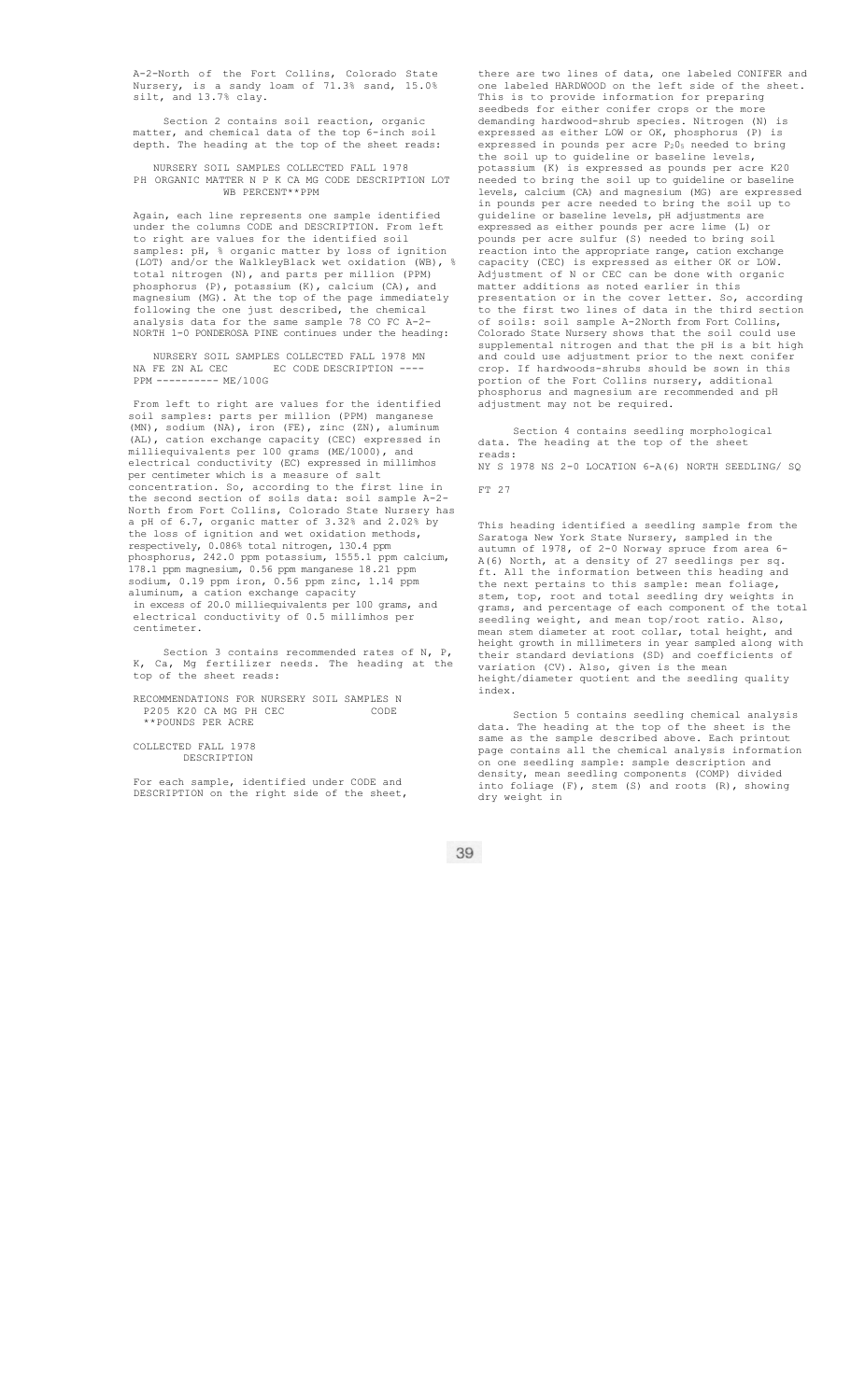A-2-North of the Fort Collins, Colorado State Nursery, is a sandy loam of 71.3% sand, 15.0% silt, and 13.7% clay.

Section 2 contains soil reaction, organic matter, and chemical data of the top 6-inch soil depth. The heading at the top of the sheet reads:

NURSERY SOIL SAMPLES COLLECTED FALL 1978 PH ORGANIC MATTER N P K CA MG CODE DESCRIPTION LOT WB PERCENT\*\*PPM

Again, each line represents one sample identified under the columns CODE and DESCRIPTION. From left to right are values for the identified soil samples: pH, % organic matter by loss of ignition (LOT) and/or the WalkleyBlack wet oxidation (WB), % total nitrogen (N), and parts per million (PPM) phosphorus (P), potassium (K), calcium (CA), and magnesium (MG). At the top of the page immediately following the one just described, the chemical analysis data for the same sample 78 CO FC A-2- NORTH 1-0 PONDEROSA PINE continues under the heading:

NURSERY SOIL SAMPLES COLLECTED FALL 1978 MN NA FE ZN AL CEC EC CODE DESCRIPTION ---- PPM ---------- ME/100G

From left to right are values for the identified soil samples: parts per million (PPM) manganese (MN), sodium (NA), iron (FE), zinc (ZN), aluminum (AL), cation exchange capacity (CEC) expressed in milliequivalents per 100 grams (ME/1000), and electrical conductivity (EC) expressed in millimhos per centimeter which is a measure of salt concentration. So, according to the first line in the second section of soils data: soil sample A-2- North from Fort Collins, Colorado State Nursery has pH of 6.7, organic matter of 3.32% and 2.02% by the loss of ignition and wet oxidation methods, respectively, 0.086% total nitrogen, 130.4 ppm phosphorus, 242.0 ppm potassium, 1555.1 ppm calcium, 178.1 ppm magnesium, 0.56 ppm manganese 18.21 ppm sodium, 0.19 ppm iron, 0.56 ppm zinc, 1.14 ppm aluminum, a cation exchange capacity in excess of 20.0 milliequivalents per 100 grams, and electrical conductivity of 0.5 millimhos per centimeter.

Section 3 contains recommended rates of N, P, K, Ca, Mg fertilizer needs. The heading at the top of the sheet reads:

RECOMMENDATIONS FOR NURSERY SOIL SAMPLES N P205 K20 CA MG PH CEC CODE \*\*POUNDS PER ACRE

COLLECTED FALL 1978 DESCRIPTION

For each sample, identified under CODE and DESCRIPTION on the right side of the sheet,

there are two lines of data, one labeled CONIFER and one labeled HARDWOOD on the left side of the sheet. This is to provide information for preparing seedbeds for either conifer crops or the more demanding hardwood-shrub species. Nitrogen (N) is expressed as either LOW or OK, phosphorus (P) is expressed in pounds per acre P<sub>2</sub>0<sub>5</sub> needed to bring the soil up to guideline or baseline levels, potassium (K) is expressed as pounds per acre K20 needed to bring the soil up to guideline or baseline levels, calcium (CA) and magnesium (MG) are expressed in pounds per acre needed to bring the soil up to guideline or baseline levels, pH adjustments are expressed as either pounds per acre lime (L) or pounds per acre sulfur (S) needed to bring soil reaction into the appropriate range, cation exchange capacity (CEC) is expressed as either OK or LOW. Adjustment of N or CEC can be done with organic matter additions as noted earlier in this presentation or in the cover letter. So, according to the first two lines of data in the third section of soils: soil sample A-2North from Fort Collins, Colorado State Nursery shows that the soil could use supplemental nitrogen and that the pH is a bit high and could use adjustment prior to the next conifer crop. If hardwoods-shrubs should be sown in this portion of the Fort Collins nursery, additional phosphorus and magnesium are recommended and pH adjustment may not be required.

Section 4 contains seedling morphological data. The heading at the top of the sheet reads: NY S 1978 NS 2-0 LOCATION 6-A(6) NORTH SEEDLING/ SQ

FT 27

This heading identified a seedling sample from the Saratoga New York State Nursery, sampled in the autumn of 1978, of 2-0 Norway spruce from area 6- A(6) North, at a density of 27 seedlings per sq. ft. All the information between this heading and the next pertains to this sample: mean foliage, stem, top, root and total seedling dry weights in grams, and percentage of each component of the total seedling weight, and mean top/root ratio. Also, mean stem diameter at root collar, total height, and height growth in millimeters in year sampled along with their standard deviations (SD) and coefficients of variation (CV). Also, given is the mean height/diameter quotient and the seedling quality index.

Section 5 contains seedling chemical analysis data. The heading at the top of the sheet is the same as the sample described above. Each printout page contains all the chemical analysis information on one seedling sample: sample description and density, mean seedling components (COMP) divided into foliage (F), stem (S) and roots (R), showing dry weight in